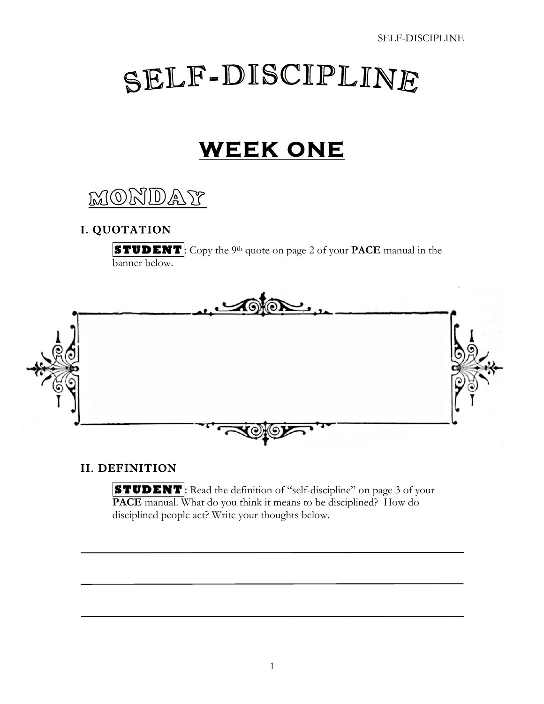# SELF-DISCIPLINE

## **WEEK ONE**

MONDAY

#### I. QUOTATION

 **STUDENT** : Copy the 9th quote on page 2 of your **PACE** manual in the banner below.



#### II. DEFINITION

**STUDENT**: Read the definition of "self-discipline" on page 3 of your **PACE** manual. What do you think it means to be disciplined? How do disciplined people act? Write your thoughts below.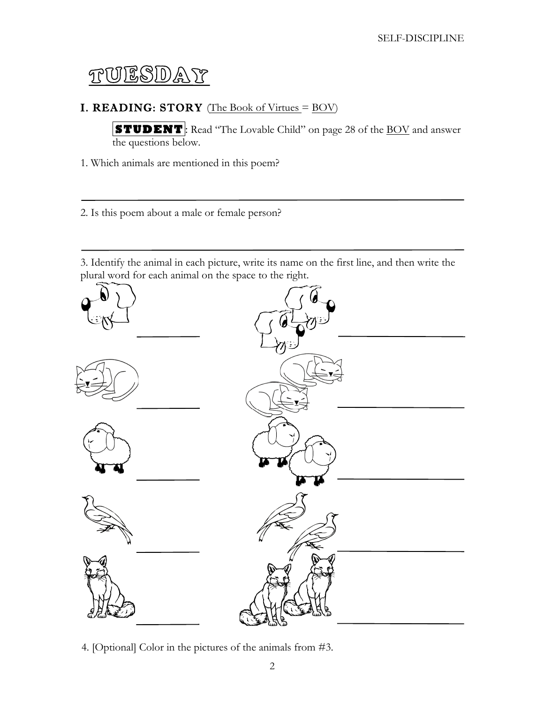### TUESDAY

#### **I. READING: STORY** (The Book of Virtues  $=$  BOV)

 **STUDENT** : Read "The Lovable Child" on page 28 of the BOV and answer the questions below.

- 1. Which animals are mentioned in this poem?
- 2. Is this poem about a male or female person?

3. Identify the animal in each picture, write its name on the first line, and then write the plural word for each animal on the space to the right.



4. [Optional] Color in the pictures of the animals from #3.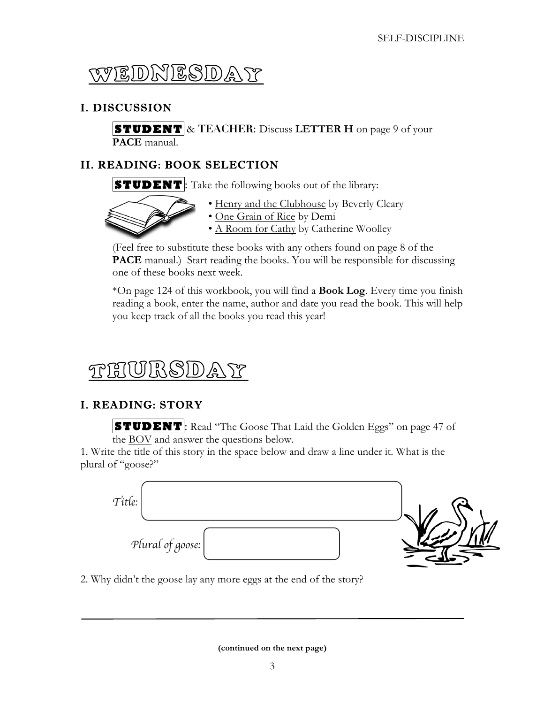

#### I. DISCUSSION

**STUDENT** & TEACHER: Discuss LETTER H on page 9 of your **PACE** manual.

#### II. READING: BOOK SELECTION

**STUDENT**: Take the following books out of the library:



- 
- Henry and the Clubhouse by Beverly Cleary
- One Grain of Rice by Demi
- A Room for Cathy by Catherine Woolley

(Feel free to substitute these books with any others found on page 8 of the **PACE** manual.) Start reading the books. You will be responsible for discussing one of these books next week.

\*On page 124 of this workbook, you will find a **Book Log**. Every time you finish reading a book, enter the name, author and date you read the book. This will help you keep track of all the books you read this year!

#### $\frac{1}{2}$  $(S|0)$ TPT81

#### I. READING: STORY

**STUDENT**: Read "The Goose That Laid the Golden Eggs" on page 47 of the BOV and answer the questions below.

1. Write the title of this story in the space below and draw a line under it. What is the plural of "goose?"



2. Why didn't the goose lay any more eggs at the end of the story?

**(continued on the next page)**